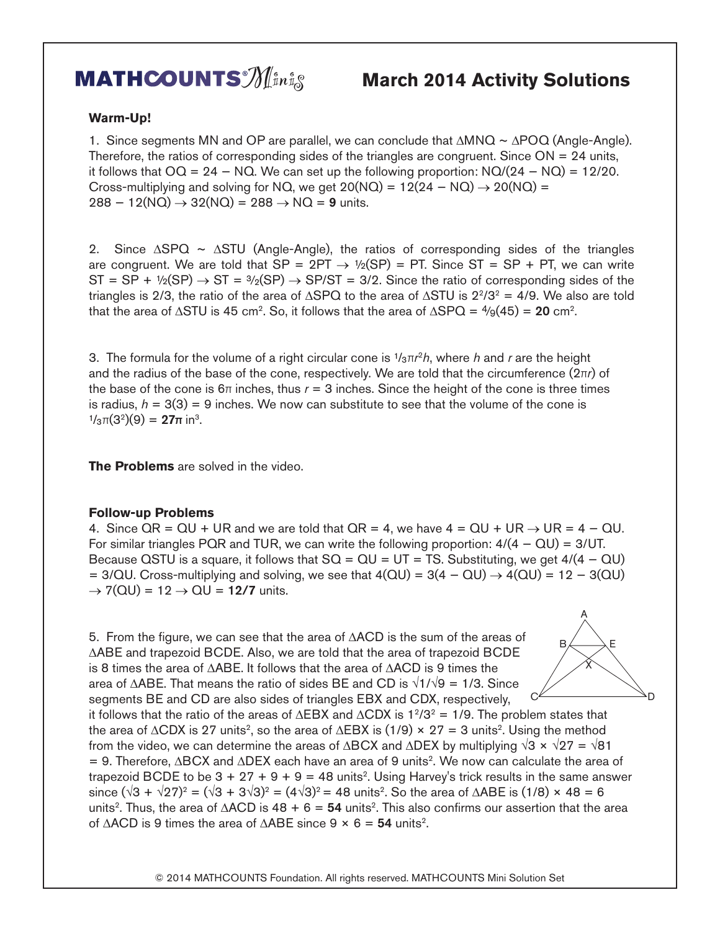## **MATHCOUNTS**  $\mathcal{M}_{\mu n}$ <sup>s</sup>  $\phi$  March 2014 Activity Solutions

## **Warm-Up!**

1. Since segments MN and OP are parallel, we can conclude that ∆MNQ ~ ∆POQ (Angle-Angle). Therefore, the ratios of corresponding sides of the triangles are congruent. Since  $ON = 24$  units, it follows that  $OQ = 24 - NQ$ . We can set up the following proportion:  $NQ/(24 - NQ) = 12/20$ . Cross-multiplying and solving for NQ, we get  $20(NQ) = 12(24 - NQ) \rightarrow 20(NQ) =$  $288 - 12(NQ) \rightarrow 32(NQ) = 288 \rightarrow NQ = 9$  units.

2. Since ∆SPQ ~ ∆STU (Angle-Angle), the ratios of corresponding sides of the triangles are congruent. We are told that  $SP = 2PT \rightarrow \frac{1}{2}(SP) = PT$ . Since  $ST = SP + PT$ , we can write  $ST = SP + \frac{1}{2}(SP) \rightarrow ST = \frac{3}{2}(SP) \rightarrow SP/ST = 3/2$ . Since the ratio of corresponding sides of the triangles is 2/3, the ratio of the area of ∆SPQ to the area of ∆STU is  $2^{2}/3^{2} = 4/9$ . We also are told that the area of  $\triangle$ STU is 45 cm<sup>2</sup>. So, it follows that the area of  $\triangle$ SPQ =  $\frac{4}{9}(45)$  = 20 cm<sup>2</sup>.

3. The formula for the volume of a right circular cone is ¹/³π*r* <sup>2</sup>*h*, where *h* and *r* are the height and the radius of the base of the cone, respectively. We are told that the circumference (2π*r*) of the base of the cone is  $6\pi$  inches, thus  $r = 3$  inches. Since the height of the cone is three times is radius,  $h = 3(3) = 9$  inches. We now can substitute to see that the volume of the cone is  $1/3\pi(3^2)(9) = 27\pi$  in<sup>3</sup>.

**The Problems** are solved in the video.

## **Follow-up Problems**

4. Since  $QR = QU + UR$  and we are told that  $QR = 4$ , we have  $4 = QU + UR \rightarrow UR = 4 - QU$ . For similar triangles PQR and TUR, we can write the following proportion:  $4/(4 - QU) = 3/UT$ . Because QSTU is a square, it follows that  $SQ = QU = UT = TS$ . Substituting, we get  $4/(4 - QU)$ =  $3/\text{QU}$ . Cross-multiplying and solving, we see that  $4(\text{QU}) = 3(4 - \text{QU}) \rightarrow 4(\text{QU}) = 12 - 3(\text{QU})$  $\rightarrow$  7(QU) = 12  $\rightarrow$  QU = 12/7 units.

5. From the figure, we can see that the area of ∆ACD is the sum of the areas of ∆ABE and trapezoid BCDE. Also, we are told that the area of trapezoid BCDE is 8 times the area of ∆ABE. It follows that the area of ∆ACD is 9 times the area of ∆ABE. That means the ratio of sides BE and CD is √1/√9 = 1/3. Since segments BE and CD are also sides of triangles EBX and CDX, respectively,



it follows that the ratio of the areas of  $\triangle$ EBX and  $\triangle$ CDX is 1<sup>2</sup>/3<sup>2</sup> = 1/9. The problem states that the area of  $\triangle$ CDX is 27 units<sup>2</sup>, so the area of  $\triangle$ EBX is (1/9) × 27 = 3 units<sup>2</sup>. Using the method from the video, we can determine the areas of ∆BCX and ∆DEX by multiplying  $\sqrt{3} \times \sqrt{27} = \sqrt{81}$ = 9. Therefore, ∆BCX and ∆DEX each have an area of 9 units2. We now can calculate the area of trapezoid BCDE to be  $3 + 27 + 9 + 9 = 48$  units<sup>2</sup>. Using Harvey's trick results in the same answer since (√3 + √27)<sup>2</sup> = (√3 + 3√3)<sup>2</sup> = (4√3)<sup>2</sup> = 48 units<sup>2</sup>. So the area of ∆ABE is (1/8) × 48 = 6 units<sup>2</sup>. Thus, the area of ∆ACD is 48 + 6 = 54 units<sup>2</sup>. This also confirms our assertion that the area of ∆ACD is 9 times the area of ∆ABE since  $9 \times 6 = 54$  units<sup>2</sup>.